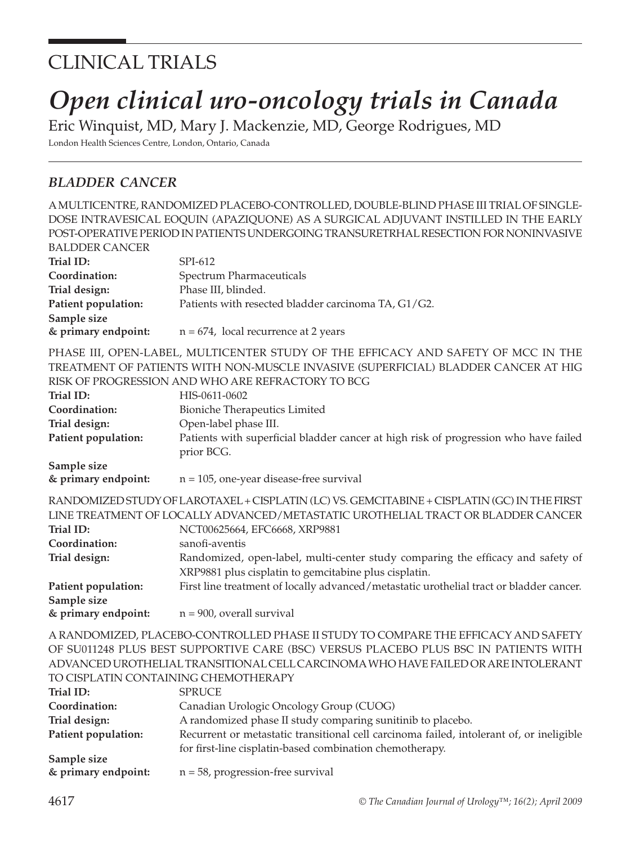# CLINICAL TRIALS

# *Open clinical uro-oncology trials in Canada*

Eric Winquist, MD, Mary J. Mackenzie, MD, George Rodrigues, MD London Health Sciences Centre, London, Ontario, Canada

# *BLADDER CANCER*

A MULTICENTRE, RANDOMIZED PLACEBO-CONTROLLED, DOUBLE-BLIND PHASE III TRIAL OF SINGLE-DOSE INTRAVESICAL EOQUIN (APAZIQUONE) AS A SURGICAL ADJUVANT INSTILLED IN THE EARLY POST-OPERATIVE PERIOD IN PATIENTS UNDERGOING TRANSURETRHAL RESECTION FOR NONINVASIVE

| <b>BALDDER CANCER</b> |                                                                                                                                          |
|-----------------------|------------------------------------------------------------------------------------------------------------------------------------------|
| Trial ID:             | SPI-612                                                                                                                                  |
| Coordination:         | Spectrum Pharmaceuticals                                                                                                                 |
| Trial design:         | Phase III, blinded.                                                                                                                      |
| Patient population:   | Patients with resected bladder carcinoma TA, G1/G2.                                                                                      |
| Sample size           |                                                                                                                                          |
| & primary endpoint:   | $n = 674$ , local recurrence at 2 years                                                                                                  |
|                       | PHASE III, OPEN-LABEL, MULTICENTER STUDY OF THE EFFICACY AND SAFETY OF MCC IN THE                                                        |
|                       | TREATMENT OF PATIENTS WITH NON-MUSCLE INVASIVE (SUPERFICIAL) BLADDER CANCER AT HIG                                                       |
|                       | RISK OF PROGRESSION AND WHO ARE REFRACTORY TO BCG                                                                                        |
| Trial ID:             | HIS-0611-0602                                                                                                                            |
| Coordination:         | <b>Bioniche Therapeutics Limited</b>                                                                                                     |
| Trial design:         | Open-label phase III.                                                                                                                    |
| Patient population:   | Patients with superficial bladder cancer at high risk of progression who have failed<br>prior BCG.                                       |
| Sample size           |                                                                                                                                          |
| & primary endpoint:   | $n = 105$ , one-year disease-free survival                                                                                               |
|                       | RANDOMIZED STUDY OF LAROTAXEL + CISPLATIN (LC) VS. GEMCITABINE + CISPLATIN (GC) IN THE FIRST                                             |
|                       | LINE TREATMENT OF LOCALLY ADVANCED/METASTATIC UROTHELIAL TRACT OR BLADDER CANCER                                                         |
| Trial ID:             | NCT00625664, EFC6668, XRP9881                                                                                                            |
| Coordination:         | sanofi-aventis                                                                                                                           |
| Trial design:         | Randomized, open-label, multi-center study comparing the efficacy and safety of<br>XRP9881 plus cisplatin to gemcitabine plus cisplatin. |

**Patient population:** First line treatment of locally advanced/metastatic urothelial tract or bladder cancer. **Sample size** 

**& primary endpoint:** n = 900, overall survival

A RANDOMIZED, PLACEBO-CONTROLLED PHASE II STUDY TO COMPARE THE EFFICACY AND SAFETY OF SU011248 PLUS BEST SUPPORTIVE CARE (BSC) VERSUS PLACEBO PLUS BSC IN PATIENTS WITH ADVANCED UROTHELIAL TRANSITIONAL CELL CARCINOMA WHO HAVE FAILED OR ARE INTOLERANT TO CISPLATIN CONTAINING CHEMOTHERAPY

| Trial ID:           | <b>SPRUCE</b>                                                                            |
|---------------------|------------------------------------------------------------------------------------------|
| Coordination:       | Canadian Urologic Oncology Group (CUOG)                                                  |
| Trial design:       | A randomized phase II study comparing sunitinib to placebo.                              |
| Patient population: | Recurrent or metastatic transitional cell carcinoma failed, intolerant of, or ineligible |
|                     | for first-line cisplatin-based combination chemotherapy.                                 |
| Sample size         |                                                                                          |
| & primary endpoint: | $n = 58$ , progression-free survival                                                     |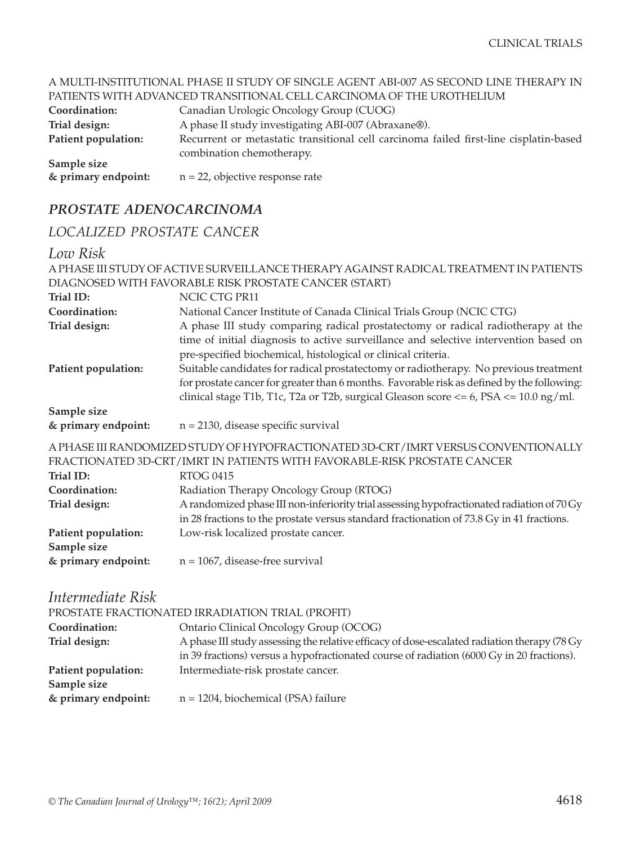#### A MULTI-INSTITUTIONAL PHASE II STUDY OF SINGLE AGENT ABI-007 AS SECOND LINE THERAPY IN PATIENTS WITH ADVANCED TRANSITIONAL CELL CARCINOMA OF THE UROTHELIUM

|                     | TIMILINID MIIITIND MNNCLID TIMNNOITIOIMIL CLILI CHINCINOMITOT TITLI ONOTHELIOMI                                    |
|---------------------|--------------------------------------------------------------------------------------------------------------------|
| Coordination:       | Canadian Urologic Oncology Group (CUOG)                                                                            |
| Trial design:       | A phase II study investigating ABI-007 (Abraxane®).                                                                |
| Patient population: | Recurrent or metastatic transitional cell carcinoma failed first-line cisplatin-based<br>combination chemotherapy. |
| Sample size         |                                                                                                                    |
| & primary endpoint: | $n = 22$ , objective response rate                                                                                 |

# *PROSTATE ADENOCARCINOMA*

# *LOCALIZED PROSTATE CANCER*

# *Low Risk*

|                                                                                                                  | A PHASE III STUDY OF ACTIVE SURVEILLANCE THERAPY AGAINST RADICAL TREATMENT IN PATIENTS                                                                                                                                                                                                                                                                                                                                                                                                                                  |
|------------------------------------------------------------------------------------------------------------------|-------------------------------------------------------------------------------------------------------------------------------------------------------------------------------------------------------------------------------------------------------------------------------------------------------------------------------------------------------------------------------------------------------------------------------------------------------------------------------------------------------------------------|
|                                                                                                                  | DIAGNOSED WITH FAVORABLE RISK PROSTATE CANCER (START)                                                                                                                                                                                                                                                                                                                                                                                                                                                                   |
| Trial ID:                                                                                                        | NCIC CTG PR11                                                                                                                                                                                                                                                                                                                                                                                                                                                                                                           |
| Coordination:                                                                                                    | National Cancer Institute of Canada Clinical Trials Group (NCIC CTG)                                                                                                                                                                                                                                                                                                                                                                                                                                                    |
| Trial design:<br>Patient population:                                                                             | A phase III study comparing radical prostatectomy or radical radiotherapy at the<br>time of initial diagnosis to active surveillance and selective intervention based on<br>pre-specified biochemical, histological or clinical criteria.<br>Suitable candidates for radical prostatectomy or radiotherapy. No previous treatment<br>for prostate cancer for greater than 6 months. Favorable risk as defined by the following:<br>clinical stage T1b, T1c, T2a or T2b, surgical Gleason score <= 6, PSA <= 10.0 ng/ml. |
| Sample size                                                                                                      |                                                                                                                                                                                                                                                                                                                                                                                                                                                                                                                         |
| & primary endpoint:                                                                                              | $n = 2130$ , disease specific survival                                                                                                                                                                                                                                                                                                                                                                                                                                                                                  |
| Trial ID:<br>Coordination:<br>Trial design:<br>Patient population:                                               | A PHASE III RANDOMIZED STUDY OF HYPOFRACTIONATED 3D-CRT/IMRT VERSUS CONVENTIONALLY<br>FRACTIONATED 3D-CRT/IMRT IN PATIENTS WITH FAVORABLE-RISK PROSTATE CANCER<br><b>RTOG 0415</b><br>Radiation Therapy Oncology Group (RTOG)<br>A randomized phase III non-inferiority trial assessing hypofractionated radiation of 70 Gy<br>in 28 fractions to the prostate versus standard fractionation of 73.8 Gy in 41 fractions.<br>Low-risk localized prostate cancer.                                                         |
| Sample size                                                                                                      |                                                                                                                                                                                                                                                                                                                                                                                                                                                                                                                         |
| & primary endpoint:<br>Intermediate Risk<br>Coordination:<br>Trial design:<br>Patient population:<br>Sample size | $n = 1067$ , disease-free survival<br>PROSTATE FRACTIONATED IRRADIATION TRIAL (PROFIT)<br>Ontario Clinical Oncology Group (OCOG)<br>A phase III study assessing the relative efficacy of dose-escalated radiation therapy (78 Gy<br>in 39 fractions) versus a hypofractionated course of radiation (6000 Gy in 20 fractions).<br>Intermediate-risk prostate cancer.                                                                                                                                                     |
| & primary endpoint:                                                                                              | $n = 1204$ , biochemical (PSA) failure                                                                                                                                                                                                                                                                                                                                                                                                                                                                                  |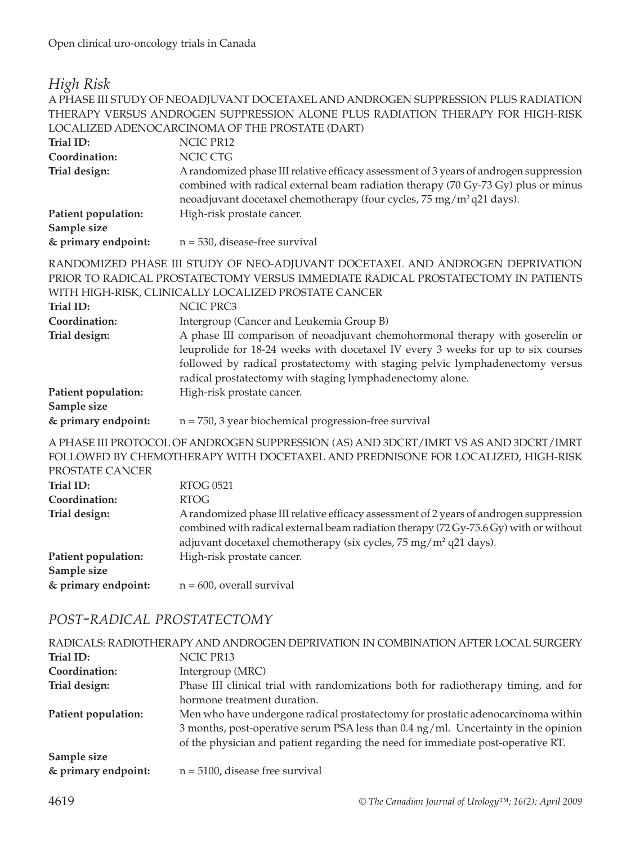#### *High Risk*

#### A PHASE III STUDY OF NEOADJUVANT DOCETAXEL AND ANDROGEN SUPPRESSION PLUS RADIATION THERAPY VERSUS ANDROGEN SUPPRESSION ALONE PLUS RADIATION THERAPY FOR HIGH-RISK LOCALIZED ADENOCARCINOMA OF THE PROSTATE (DART)

| Trial ID:           | NCIC PR12                                                                                                                                                                                                                                                       |
|---------------------|-----------------------------------------------------------------------------------------------------------------------------------------------------------------------------------------------------------------------------------------------------------------|
| Coordination:       | NCIC CTG                                                                                                                                                                                                                                                        |
| Trial design:       | A randomized phase III relative efficacy assessment of 3 years of androgen suppression<br>combined with radical external beam radiation therapy (70 Gy-73 Gy) plus or minus<br>neoadjuvant docetaxel chemotherapy (four cycles, 75 mg/m <sup>2</sup> q21 days). |
| Patient population: | High-risk prostate cancer.                                                                                                                                                                                                                                      |
| Sample size         |                                                                                                                                                                                                                                                                 |
| & primary endpoint: | $n = 530$ , disease-free survival                                                                                                                                                                                                                               |

RANDOMIZED PHASE III STUDY OF NEO-ADJUVANT DOCETAXEL AND ANDROGEN DEPRIVATION PRIOR TO RADICAL PROSTATECTOMY VERSUS IMMEDIATE RADICAL PROSTATECTOMY IN PATIENTS WITH HIGH-RISK, CLINICALLY LOCALIZED PROSTATE CANCER

| Trial ID:           | NCIC PRC3                                                                        |
|---------------------|----------------------------------------------------------------------------------|
| Coordination:       | Intergroup (Cancer and Leukemia Group B)                                         |
| Trial design:       | A phase III comparison of neoadjuvant chemohormonal therapy with goserelin or    |
|                     | leuprolide for 18-24 weeks with docetaxel IV every 3 weeks for up to six courses |
|                     | followed by radical prostatectomy with staging pelvic lymphadenectomy versus     |
|                     | radical prostatectomy with staging lymphadenectomy alone.                        |
| Patient population: | High-risk prostate cancer.                                                       |
| Sample size         |                                                                                  |
| & primary endpoint: | $n = 750$ , 3 year biochemical progression-free survival                         |

A PHASE III PROTOCOL OF ANDROGEN SUPPRESSION (AS) AND 3DCRT/IMRT VS AS AND 3DCRT/IMRT FOLLOWED BY CHEMOTHERAPY WITH DOCETAXEL AND PREDNISONE FOR LOCALIZED, HIGH-RISK PROSTATE CANCER

| TROSHIL CHREEK      |                                                                                                                                                                                                                                                                |
|---------------------|----------------------------------------------------------------------------------------------------------------------------------------------------------------------------------------------------------------------------------------------------------------|
| Trial ID:           | RTOG 0521                                                                                                                                                                                                                                                      |
| Coordination:       | RTOG                                                                                                                                                                                                                                                           |
| Trial design:       | A randomized phase III relative efficacy assessment of 2 years of androgen suppression<br>combined with radical external beam radiation therapy (72 Gy-75.6 Gy) with or without<br>adjuvant docetaxel chemotherapy (six cycles, $75 \text{ mg/m}^2$ q21 days). |
| Patient population: | High-risk prostate cancer.                                                                                                                                                                                                                                     |
| Sample size         |                                                                                                                                                                                                                                                                |
| & primary endpoint: | $n = 600$ , overall survival                                                                                                                                                                                                                                   |

#### *POST-RADICAL PROSTATECTOMY*

| RADICALS: RADIOTHERAPY AND ANDROGEN DEPRIVATION IN COMBINATION AFTER LOCAL SURGERY |                                                                                               |
|------------------------------------------------------------------------------------|-----------------------------------------------------------------------------------------------|
| Trial ID:                                                                          | NCIC PR13                                                                                     |
| Coordination:                                                                      | Intergroup (MRC)                                                                              |
| Trial design:                                                                      | Phase III clinical trial with randomizations both for radiotherapy timing, and for            |
|                                                                                    | hormone treatment duration.                                                                   |
| Patient population:                                                                | Men who have undergone radical prostatectomy for prostatic adenocarcinoma within              |
|                                                                                    | 3 months, post-operative serum PSA less than $0.4 \text{ ng/ml}$ . Uncertainty in the opinion |
|                                                                                    | of the physician and patient regarding the need for immediate post-operative RT.              |
| Sample size                                                                        |                                                                                               |
| & primary endpoint:                                                                | $n = 5100$ , disease free survival                                                            |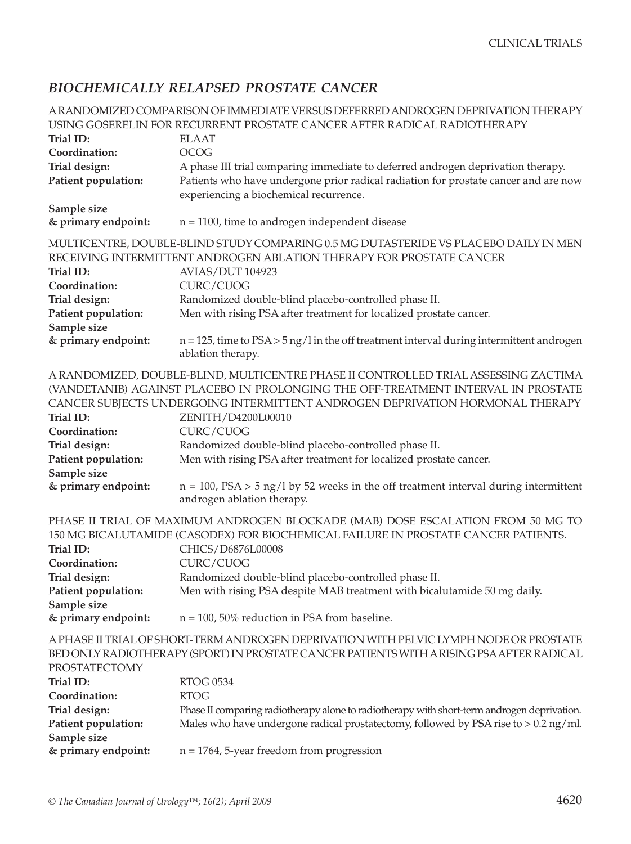# *BIOCHEMICALLY RELAPSED PROSTATE CANCER*

|                                                     | A RANDOMIZED COMPARISON OF IMMEDIATE VERSUS DEFERRED ANDROGEN DEPRIVATION THERAPY                                                                                                                                                                                                            |
|-----------------------------------------------------|----------------------------------------------------------------------------------------------------------------------------------------------------------------------------------------------------------------------------------------------------------------------------------------------|
|                                                     | USING GOSERELIN FOR RECURRENT PROSTATE CANCER AFTER RADICAL RADIOTHERAPY                                                                                                                                                                                                                     |
| Trial ID:                                           | <b>ELAAT</b>                                                                                                                                                                                                                                                                                 |
| Coordination:                                       | <b>OCOG</b>                                                                                                                                                                                                                                                                                  |
| Trial design:                                       | A phase III trial comparing immediate to deferred androgen deprivation therapy.                                                                                                                                                                                                              |
| Patient population:                                 | Patients who have undergone prior radical radiation for prostate cancer and are now                                                                                                                                                                                                          |
|                                                     | experiencing a biochemical recurrence.                                                                                                                                                                                                                                                       |
| Sample size                                         |                                                                                                                                                                                                                                                                                              |
| & primary endpoint:                                 | $n = 1100$ , time to androgen independent disease                                                                                                                                                                                                                                            |
| Trial ID:<br>Coordination:                          | MULTICENTRE, DOUBLE-BLIND STUDY COMPARING 0.5 MG DUTASTERIDE VS PLACEBO DAILY IN MEN<br>RECEIVING INTERMITTENT ANDROGEN ABLATION THERAPY FOR PROSTATE CANCER<br><b>AVIAS/DUT 104923</b><br>CURC/CUOG                                                                                         |
| Trial design:<br>Patient population:                | Randomized double-blind placebo-controlled phase II.<br>Men with rising PSA after treatment for localized prostate cancer.                                                                                                                                                                   |
| Sample size<br>& primary endpoint:                  | $n = 125$ , time to $PSA > 5$ ng/l in the off treatment interval during intermittent androgen<br>ablation therapy.                                                                                                                                                                           |
| Trial ID:<br>Coordination:                          | A RANDOMIZED, DOUBLE-BLIND, MULTICENTRE PHASE II CONTROLLED TRIAL ASSESSING ZACTIMA<br>(VANDETANIB) AGAINST PLACEBO IN PROLONGING THE OFF-TREATMENT INTERVAL IN PROSTATE<br>CANCER SUBJECTS UNDERGOING INTERMITTENT ANDROGEN DEPRIVATION HORMONAL THERAPY<br>ZENITH/D4200L00010<br>CURC/CUOG |
| Trial design:<br>Patient population:<br>Sample size | Randomized double-blind placebo-controlled phase II.<br>Men with rising PSA after treatment for localized prostate cancer.                                                                                                                                                                   |
| & primary endpoint:                                 | $n = 100$ , PSA > 5 ng/l by 52 weeks in the off treatment interval during intermittent<br>androgen ablation therapy.                                                                                                                                                                         |
| Trial ID:<br>Coordination:                          | PHASE II TRIAL OF MAXIMUM ANDROGEN BLOCKADE (MAB) DOSE ESCALATION FROM 50 MG TO<br>150 MG BICALUTAMIDE (CASODEX) FOR BIOCHEMICAL FAILURE IN PROSTATE CANCER PATIENTS.<br>CHICS/D6876L00008<br>CURC/CUOG                                                                                      |
| Trial design:                                       | Randomized double-blind placebo-controlled phase II.                                                                                                                                                                                                                                         |
| Patient population:                                 | Men with rising PSA despite MAB treatment with bicalutamide 50 mg daily.                                                                                                                                                                                                                     |
| Sample size                                         |                                                                                                                                                                                                                                                                                              |
| & primary endpoint:                                 | $n = 100$ , 50% reduction in PSA from baseline.                                                                                                                                                                                                                                              |
| PROSTATECTOMY                                       | A PHASE II TRIAL OF SHORT-TERM ANDROGEN DEPRIVATION WITH PELVIC LYMPH NODE OR PROSTATE<br>BED ONLY RADIOTHERAPY (SPORT) IN PROSTATE CANCER PATIENTS WITH A RISING PSA AFTER RADICAL                                                                                                          |
| Trial ID:                                           | <b>RTOG 0534</b>                                                                                                                                                                                                                                                                             |
| Coordination:                                       | <b>RTOG</b>                                                                                                                                                                                                                                                                                  |
| Trial design:                                       | Phase II comparing radiotherapy alone to radiotherapy with short-term androgen deprivation.                                                                                                                                                                                                  |
| Patient population:<br>Sample size                  | Males who have undergone radical prostatectomy, followed by PSA rise to $> 0.2$ ng/ml.                                                                                                                                                                                                       |
| & primary endpoint:                                 | $n = 1764$ , 5-year freedom from progression                                                                                                                                                                                                                                                 |
|                                                     |                                                                                                                                                                                                                                                                                              |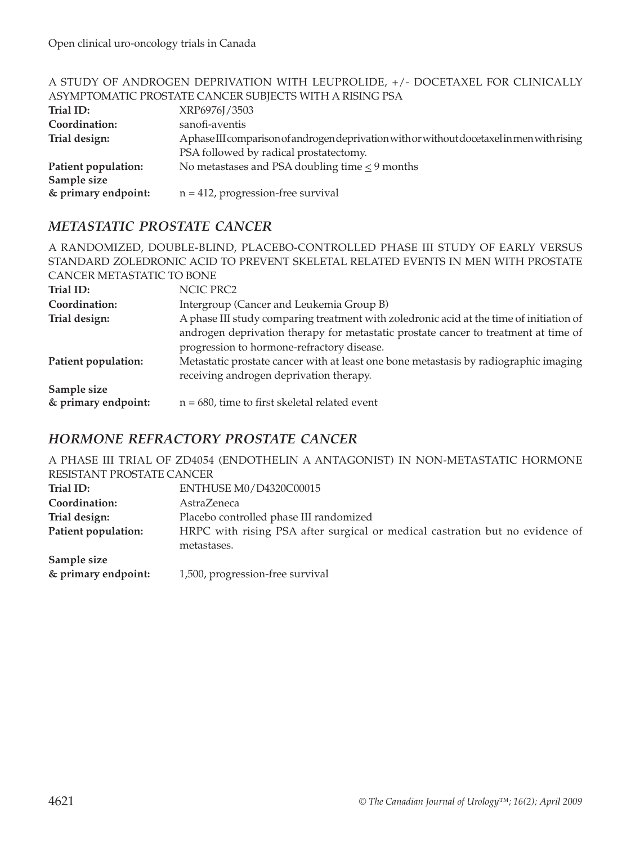|                     | $\mu$ , and $\mu$ and $\mu$ and $\mu$ and $\mu$ and $\mu$ and $\mu$ and $\mu$ and $\mu$ and $\mu$ and $\mu$ and $\mu$ |
|---------------------|-----------------------------------------------------------------------------------------------------------------------|
|                     | ASYMPTOMATIC PROSTATE CANCER SUBJECTS WITH A RISING PSA                                                               |
| Trial ID:           | XRP6976J/3503                                                                                                         |
| Coordination:       | sanofi-aventis                                                                                                        |
| Trial design:       | Aphase III comparison of androgen deprivation with or without docetaxel in men with rising                            |
|                     | PSA followed by radical prostatectomy.                                                                                |
| Patient population: | No metastases and PSA doubling time $\leq$ 9 months                                                                   |
| Sample size         |                                                                                                                       |
| & primary endpoint: | $n = 412$ , progression-free survival                                                                                 |
|                     |                                                                                                                       |

# A STUDY OF ANDROGEN DEPRIVATION WITH LEUPROLIDE, +/- DOCETAXEL FOR CLINICALLY

#### *METASTATIC PROSTATE CANCER*

|                           | A RANDOMIZED, DOUBLE-BLIND, PLACEBO-CONTROLLED PHASE III STUDY OF EARLY VERSUS          |
|---------------------------|-----------------------------------------------------------------------------------------|
|                           | STANDARD ZOLEDRONIC ACID TO PREVENT SKELETAL RELATED EVENTS IN MEN WITH PROSTATE        |
| CANCER METASTATIC TO BONE |                                                                                         |
| Trial ID:                 | NCIC PRC2                                                                               |
| Coordination:             | Intergroup (Cancer and Leukemia Group B)                                                |
| Trial design:             | A phase III study comparing treatment with zoledronic acid at the time of initiation of |
|                           | androgen deprivation therapy for metastatic prostate cancer to treatment at time of     |
|                           | progression to hormone-refractory disease.                                              |
| Patient population:       | Metastatic prostate cancer with at least one bone metastasis by radiographic imaging    |
|                           | receiving androgen deprivation therapy.                                                 |
| Sample size               |                                                                                         |
| & primary endpoint:       | $n = 680$ , time to first skeletal related event                                        |

## *HORMONE REFRACTORY PROSTATE CANCER*

A PHASE III TRIAL OF ZD4054 (ENDOTHELIN A ANTAGONIST) IN NON-METASTATIC HORMONE RESISTANT PROSTATE CANCER

| Trial ID:           | ENTHUSE M0/D4320C00015                                                       |
|---------------------|------------------------------------------------------------------------------|
| Coordination:       | AstraZeneca                                                                  |
| Trial design:       | Placebo controlled phase III randomized                                      |
| Patient population: | HRPC with rising PSA after surgical or medical castration but no evidence of |
|                     | metastases.                                                                  |
| Sample size         |                                                                              |
| & primary endpoint: | 1,500, progression-free survival                                             |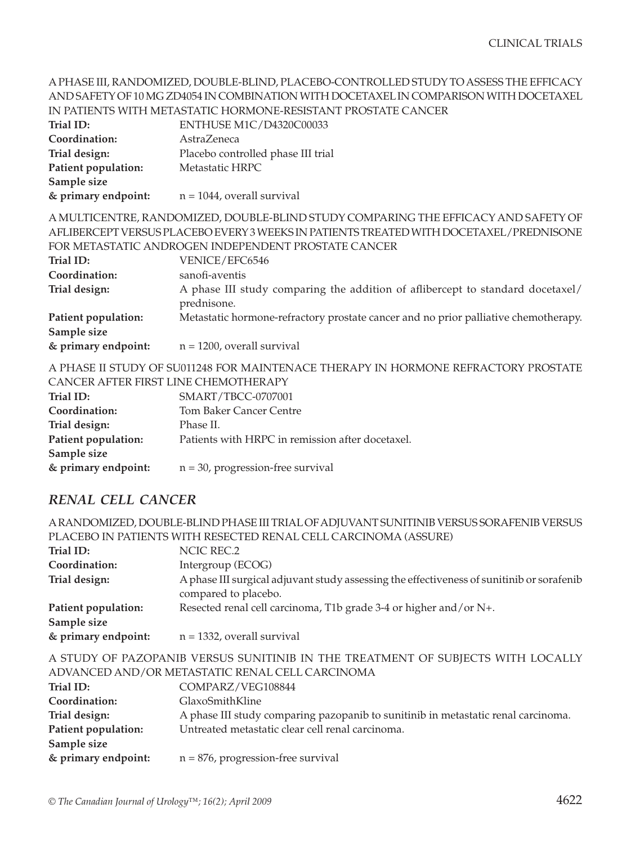#### A PHASE III, RANDOMIZED, DOUBLE-BLIND, PLACEBO-CONTROLLED STUDY TO ASSESS THE EFFICACY AND SAFETY OF 10 MG ZD4054 IN COMBINATION WITH DOCETAXEL IN COMPARISON WITH DOCETAXEL IN PATIENTS WITH METASTATIC HORMONE-RESISTANT PROSTATE CANCER

| IN PATIENTS WITH METASTATIC HORMONE-RESISTANT PROSTATE CANCER                          |
|----------------------------------------------------------------------------------------|
| ENTHUSE M1C/D4320C00033                                                                |
| AstraZeneca                                                                            |
| Placebo controlled phase III trial                                                     |
| Metastatic HRPC                                                                        |
|                                                                                        |
| $n = 1044$ , overall survival                                                          |
| A MULTICENTRE, RANDOMIZED, DOUBLE-BLIND STUDY COMPARING THE EFFICACY AND SAFETY OF     |
| AFLIBERCEPT VERSUS PLACEBO EVERY 3 WEEKS IN PATIENTS TREATED WITH DOCETAXEL/PREDNISONE |
| FOR METASTATIC ANDROGEN INDEPENDENT PROSTATE CANCER                                    |
| VENICE/EFC6546                                                                         |
| sanofi-aventis                                                                         |
| A phase III study comparing the addition of aflibercept to standard docetaxel/         |
| prednisone.                                                                            |
| Metastatic hormone-refractory prostate cancer and no prior palliative chemotherapy.    |
|                                                                                        |
| $n = 1200$ , overall survival                                                          |
|                                                                                        |

A PHASE II STUDY OF SU011248 FOR MAINTENACE THERAPY IN HORMONE REFRACTORY PROSTATE CANCER AFTER FIRST LINE CHEMOTHERAPY

| Trial ID:           | SMART/TBCC-0707001                               |
|---------------------|--------------------------------------------------|
| Coordination:       | <b>Tom Baker Cancer Centre</b>                   |
| Trial design:       | Phase II.                                        |
| Patient population: | Patients with HRPC in remission after docetaxel. |
| Sample size         |                                                  |
| & primary endpoint: | $n = 30$ , progression-free survival             |

## *RENAL CELL CANCER*

A RANDOMIZED, DOUBLE-BLIND PHASE III TRIAL OF ADJUVANT SUNITINIB VERSUS SORAFENIB VERSUS PLACEBO IN PATIENTS WITH RESECTED RENAL CELL CARCINOMA (ASSURE)

| Trial ID:                          | NCIC REC.2                                                                                                        |
|------------------------------------|-------------------------------------------------------------------------------------------------------------------|
| Coordination:                      | Intergroup (ECOG)                                                                                                 |
| Trial design:                      | A phase III surgical adjuvant study assessing the effectiveness of sunitinib or sorafenib<br>compared to placebo. |
| Patient population:<br>Sample size | Resected renal cell carcinoma, T1b grade 3-4 or higher and/or N+.                                                 |
| & primary endpoint:                | $n = 1332$ , overall survival                                                                                     |
|                                    |                                                                                                                   |

A STUDY OF PAZOPANIB VERSUS SUNITINIB IN THE TREATMENT OF SUBJECTS WITH LOCALLY ADVANCED AND/OR METASTATIC RENAL CELL CARCINOMA

| Trial ID:           | COMPARZ/VEG108844                                                                 |
|---------------------|-----------------------------------------------------------------------------------|
| Coordination:       | GlaxoSmithKline                                                                   |
| Trial design:       | A phase III study comparing pazopanib to sunitinib in metastatic renal carcinoma. |
| Patient population: | Untreated metastatic clear cell renal carcinoma.                                  |
| Sample size         |                                                                                   |
| & primary endpoint: | $n = 876$ , progression-free survival                                             |